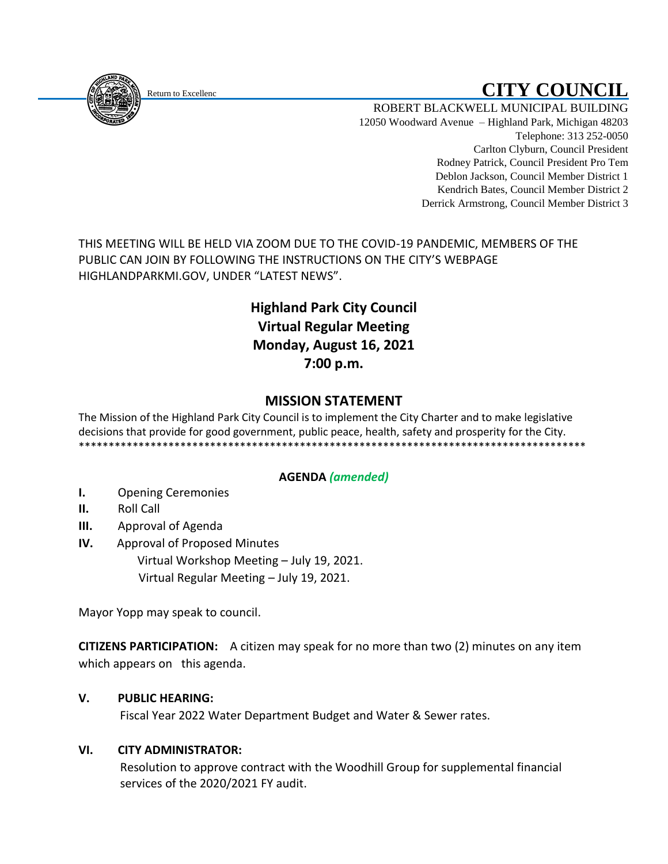# Return to Excellenc **CITY COUNCIL**

ROBERT BLACKWELL MUNICIPAL BUILDING 12050 Woodward Avenue – Highland Park, Michigan 48203 Telephone: 313 252-0050 Carlton Clyburn, Council President Rodney Patrick, Council President Pro Tem Deblon Jackson, Council Member District 1 Kendrich Bates, Council Member District 2 Derrick Armstrong, Council Member District 3

THIS MEETING WILL BE HELD VIA ZOOM DUE TO THE COVID-19 PANDEMIC, MEMBERS OF THE PUBLIC CAN JOIN BY FOLLOWING THE INSTRUCTIONS ON THE CITY'S WEBPAGE HIGHLANDPARKMI.GOV, UNDER "LATEST NEWS".

# **Highland Park City Council Virtual Regular Meeting Monday, August 16, 2021 7:00 p.m.**

## **MISSION STATEMENT**

The Mission of the Highland Park City Council is to implement the City Charter and to make legislative decisions that provide for good government, public peace, health, safety and prosperity for the City. \*\*\*\*\*\*\*\*\*\*\*\*\*\*\*\*\*\*\*\*\*\*\*\*\*\*\*\*\*\*\*\*\*\*\*\*\*\*\*\*\*\*\*\*\*\*\*\*\*\*\*\*\*\*\*\*\*\*\*\*\*\*\*\*\*\*\*\*\*\*\*\*\*\*\*\*\*\*\*\*\*\*\*\*\*

### **AGENDA** *(amended)*

- **I.** Opening Ceremonies
- **II.** Roll Call
- **III.** Approval of Agenda
- **IV.** Approval of Proposed Minutes Virtual Workshop Meeting – July 19, 2021. Virtual Regular Meeting – July 19, 2021.

Mayor Yopp may speak to council.

**CITIZENS PARTICIPATION:** A citizen may speak for no more than two (2) minutes on any item which appears on this agenda.

#### **V. PUBLIC HEARING:**

Fiscal Year 2022 Water Department Budget and Water & Sewer rates.

#### **VI. CITY ADMINISTRATOR:**

Resolution to approve contract with the Woodhill Group for supplemental financial services of the 2020/2021 FY audit.